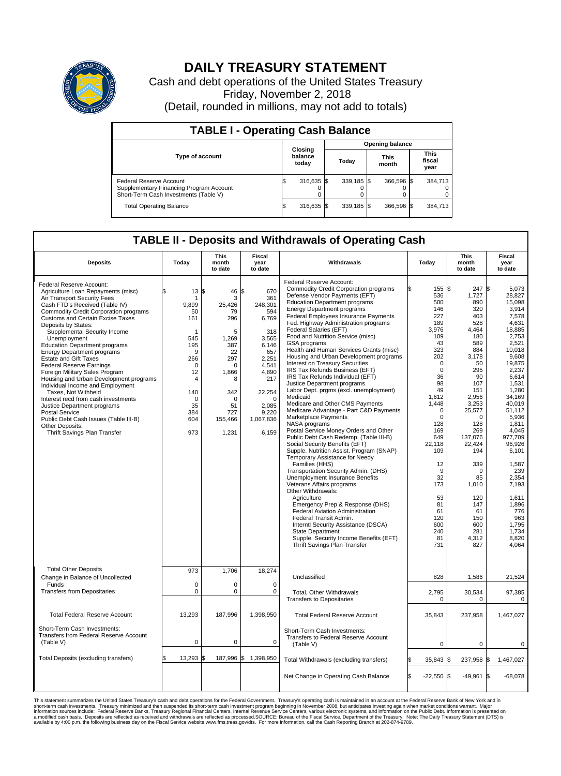

## **DAILY TREASURY STATEMENT**

Cash and debt operations of the United States Treasury Friday, November 2, 2018 (Detail, rounded in millions, may not add to totals)

| <b>TABLE I - Operating Cash Balance</b>                                                                     |     |                             |       |                        |                      |            |                               |         |  |  |  |
|-------------------------------------------------------------------------------------------------------------|-----|-----------------------------|-------|------------------------|----------------------|------------|-------------------------------|---------|--|--|--|
|                                                                                                             |     |                             |       | <b>Opening balance</b> |                      |            |                               |         |  |  |  |
| <b>Type of account</b>                                                                                      |     | Closing<br>balance<br>today | Today |                        | <b>This</b><br>month |            | <b>This</b><br>fiscal<br>year |         |  |  |  |
| Federal Reserve Account<br>Supplementary Financing Program Account<br>Short-Term Cash Investments (Table V) |     | 316,635 \$                  |       | $339.185$ \$           |                      | 366.596 \$ |                               | 384,713 |  |  |  |
| <b>Total Operating Balance</b>                                                                              | I\$ | 316,635 \$                  |       | 339,185 \$             |                      | 366,596 \$ |                               | 384,713 |  |  |  |

## **TABLE II - Deposits and Withdrawals of Operating Cash**

| <b>Deposits</b>                                                                                                                                                                                                                                                                                                                                                                                                                                                                                                                                                                                                                                                                                                                                                              | Today                                                                                                                                       | This<br>month<br>to date                                                                                                                             | <b>Fiscal</b><br>year<br>to date                                                                                                                                            | Withdrawals                                                                                                                                                                                                                                                                                                                                                                                                                                                                                                                                                                                                                                                                                                                                                                                                                                                                                                                                                                                                                                                                                                                                                                                                                                                                                                                                                                  | Today                                                                                                                                                                                                                                                                              | <b>This</b><br>month<br>to date                                                                                                                                                                                                                                                        | Fiscal<br>year<br>to date                                                                                                                                                                                                                                                                                                                             |
|------------------------------------------------------------------------------------------------------------------------------------------------------------------------------------------------------------------------------------------------------------------------------------------------------------------------------------------------------------------------------------------------------------------------------------------------------------------------------------------------------------------------------------------------------------------------------------------------------------------------------------------------------------------------------------------------------------------------------------------------------------------------------|---------------------------------------------------------------------------------------------------------------------------------------------|------------------------------------------------------------------------------------------------------------------------------------------------------|-----------------------------------------------------------------------------------------------------------------------------------------------------------------------------|------------------------------------------------------------------------------------------------------------------------------------------------------------------------------------------------------------------------------------------------------------------------------------------------------------------------------------------------------------------------------------------------------------------------------------------------------------------------------------------------------------------------------------------------------------------------------------------------------------------------------------------------------------------------------------------------------------------------------------------------------------------------------------------------------------------------------------------------------------------------------------------------------------------------------------------------------------------------------------------------------------------------------------------------------------------------------------------------------------------------------------------------------------------------------------------------------------------------------------------------------------------------------------------------------------------------------------------------------------------------------|------------------------------------------------------------------------------------------------------------------------------------------------------------------------------------------------------------------------------------------------------------------------------------|----------------------------------------------------------------------------------------------------------------------------------------------------------------------------------------------------------------------------------------------------------------------------------------|-------------------------------------------------------------------------------------------------------------------------------------------------------------------------------------------------------------------------------------------------------------------------------------------------------------------------------------------------------|
| Federal Reserve Account:<br>Agriculture Loan Repayments (misc)<br>Air Transport Security Fees<br>Cash FTD's Received (Table IV)<br>Commodity Credit Corporation programs<br><b>Customs and Certain Excise Taxes</b><br>Deposits by States:<br>Supplemental Security Income<br>Unemployment<br><b>Education Department programs</b><br><b>Energy Department programs</b><br><b>Estate and Gift Taxes</b><br><b>Federal Reserve Earnings</b><br>Foreign Military Sales Program<br>Housing and Urban Development programs<br>Individual Income and Employment<br>Taxes, Not Withheld<br>Interest recd from cash investments<br>Justice Department programs<br><b>Postal Service</b><br>Public Debt Cash Issues (Table III-B)<br>Other Deposits:<br>Thrift Savings Plan Transfer | \$<br>13<br>-1<br>9,899<br>50<br>161<br>1<br>545<br>195<br>9<br>266<br>$\mathbf 0$<br>12<br>4<br>140<br>$\Omega$<br>35<br>384<br>604<br>973 | \$<br>46<br>3<br>25,426<br>79<br>296<br>5<br>1,269<br>387<br>22<br>297<br>$\Omega$<br>1,866<br>8<br>342<br>$\Omega$<br>51<br>727<br>155,466<br>1,231 | \$<br>670<br>361<br>248,301<br>594<br>6,769<br>318<br>3,565<br>6,146<br>657<br>2,251<br>4,541<br>4,890<br>217<br>22,254<br>$\Omega$<br>2.085<br>9,220<br>1,067,836<br>6.159 | Federal Reserve Account:<br><b>Commodity Credit Corporation programs</b><br>Defense Vendor Payments (EFT)<br><b>Education Department programs</b><br><b>Energy Department programs</b><br><b>Federal Employees Insurance Payments</b><br>Fed. Highway Administration programs<br>Federal Salaries (EFT)<br>Food and Nutrition Service (misc)<br>GSA programs<br>Health and Human Services Grants (misc)<br>Housing and Urban Development programs<br>Interest on Treasury Securities<br>IRS Tax Refunds Business (EFT)<br>IRS Tax Refunds Individual (EFT)<br>Justice Department programs<br>Labor Dept. prgms (excl. unemployment)<br>Medicaid<br>Medicare and Other CMS Payments<br>Medicare Advantage - Part C&D Payments<br>Marketplace Payments<br>NASA programs<br>Postal Service Money Orders and Other<br>Public Debt Cash Redemp. (Table III-B)<br>Social Security Benefits (EFT)<br>Supple. Nutrition Assist. Program (SNAP)<br>Temporary Assistance for Needy<br>Families (HHS)<br>Transportation Security Admin. (DHS)<br>Unemployment Insurance Benefits<br>Veterans Affairs programs<br>Other Withdrawals:<br>Agriculture<br>Emergency Prep & Response (DHS)<br>Federal Aviation Administration<br>Federal Transit Admin.<br>Interntl Security Assistance (DSCA)<br>State Department<br>Supple. Security Income Benefits (EFT)<br>Thrift Savings Plan Transfer | 155 \$<br>536<br>500<br>146<br>227<br>189<br>3.976<br>109<br>43<br>323<br>202<br>0<br>$\mathbf 0$<br>36<br>98<br>49<br>1,612<br>1,448<br>$\mathbf 0$<br>$\Omega$<br>128<br>169<br>649<br>22.118<br>109<br>12<br>9<br>32<br>173<br>53<br>81<br>61<br>120<br>600<br>240<br>81<br>731 | 247<br>1,727<br>890<br>320<br>403<br>528<br>4.464<br>180<br>589<br>884<br>3,178<br>50<br>295<br>90<br>107<br>151<br>2,956<br>3,253<br>25,577<br>$\Omega$<br>128<br>269<br>137.076<br>22.424<br>194<br>339<br>9<br>85<br>1,010<br>120<br>147<br>61<br>150<br>600<br>281<br>4,312<br>827 | 1\$<br>5,073<br>28,827<br>15.098<br>3,914<br>7,578<br>4,631<br>18.885<br>2,753<br>2,521<br>10,018<br>9.608<br>19,875<br>2,237<br>6.614<br>1,531<br>1.280<br>34,169<br>40,019<br>51.112<br>5,936<br>1.811<br>4,045<br>977.709<br>96,926<br>6,101<br>1,587<br>239<br>2,354<br>7,193<br>1.611<br>1,896<br>776<br>963<br>1,795<br>1,734<br>8,820<br>4.064 |
| <b>Total Other Deposits</b><br>Change in Balance of Uncollected                                                                                                                                                                                                                                                                                                                                                                                                                                                                                                                                                                                                                                                                                                              | 973                                                                                                                                         | 1,706                                                                                                                                                | 18,274                                                                                                                                                                      | Unclassified                                                                                                                                                                                                                                                                                                                                                                                                                                                                                                                                                                                                                                                                                                                                                                                                                                                                                                                                                                                                                                                                                                                                                                                                                                                                                                                                                                 | 828                                                                                                                                                                                                                                                                                | 1,586                                                                                                                                                                                                                                                                                  | 21,524                                                                                                                                                                                                                                                                                                                                                |
| Funds<br><b>Transfers from Depositaries</b>                                                                                                                                                                                                                                                                                                                                                                                                                                                                                                                                                                                                                                                                                                                                  | $\mathbf 0$<br>$\pmb{0}$                                                                                                                    | $\Omega$<br>0                                                                                                                                        | $\Omega$<br>0                                                                                                                                                               | Total, Other Withdrawals<br><b>Transfers to Depositaries</b>                                                                                                                                                                                                                                                                                                                                                                                                                                                                                                                                                                                                                                                                                                                                                                                                                                                                                                                                                                                                                                                                                                                                                                                                                                                                                                                 | 2,795<br>$\mathbf 0$                                                                                                                                                                                                                                                               | 30,534<br>0                                                                                                                                                                                                                                                                            | 97,385<br>$\mathbf 0$                                                                                                                                                                                                                                                                                                                                 |
| <b>Total Federal Reserve Account</b>                                                                                                                                                                                                                                                                                                                                                                                                                                                                                                                                                                                                                                                                                                                                         | 13,293                                                                                                                                      | 187,996                                                                                                                                              | 1,398,950                                                                                                                                                                   | <b>Total Federal Reserve Account</b>                                                                                                                                                                                                                                                                                                                                                                                                                                                                                                                                                                                                                                                                                                                                                                                                                                                                                                                                                                                                                                                                                                                                                                                                                                                                                                                                         | 35,843                                                                                                                                                                                                                                                                             | 237,958                                                                                                                                                                                                                                                                                | 1,467,027                                                                                                                                                                                                                                                                                                                                             |
| Short-Term Cash Investments:<br>Transfers from Federal Reserve Account<br>(Table V)                                                                                                                                                                                                                                                                                                                                                                                                                                                                                                                                                                                                                                                                                          | $\pmb{0}$                                                                                                                                   | 0                                                                                                                                                    | $\mathbf 0$                                                                                                                                                                 | Short-Term Cash Investments:<br>Transfers to Federal Reserve Account<br>(Table V)                                                                                                                                                                                                                                                                                                                                                                                                                                                                                                                                                                                                                                                                                                                                                                                                                                                                                                                                                                                                                                                                                                                                                                                                                                                                                            | 0                                                                                                                                                                                                                                                                                  | 0                                                                                                                                                                                                                                                                                      | 0                                                                                                                                                                                                                                                                                                                                                     |
| Total Deposits (excluding transfers)                                                                                                                                                                                                                                                                                                                                                                                                                                                                                                                                                                                                                                                                                                                                         | 13,293<br>\$                                                                                                                                | ß.                                                                                                                                                   | 187,996 \$1,398,950                                                                                                                                                         | Total Withdrawals (excluding transfers)                                                                                                                                                                                                                                                                                                                                                                                                                                                                                                                                                                                                                                                                                                                                                                                                                                                                                                                                                                                                                                                                                                                                                                                                                                                                                                                                      | 35,843                                                                                                                                                                                                                                                                             | 237,958                                                                                                                                                                                                                                                                                | l\$<br>1,467,027                                                                                                                                                                                                                                                                                                                                      |
|                                                                                                                                                                                                                                                                                                                                                                                                                                                                                                                                                                                                                                                                                                                                                                              |                                                                                                                                             |                                                                                                                                                      |                                                                                                                                                                             | Net Change in Operating Cash Balance                                                                                                                                                                                                                                                                                                                                                                                                                                                                                                                                                                                                                                                                                                                                                                                                                                                                                                                                                                                                                                                                                                                                                                                                                                                                                                                                         | Ŝ.<br>$-22,550$ \$                                                                                                                                                                                                                                                                 | $-49,961$ \$                                                                                                                                                                                                                                                                           | $-68,078$                                                                                                                                                                                                                                                                                                                                             |

This statement summarizes the United States Treasury's cash and debt operations for the Federal Government. Treasury soperating in November 2008, but anticing atsin westing again when market conditions warrant. Major York